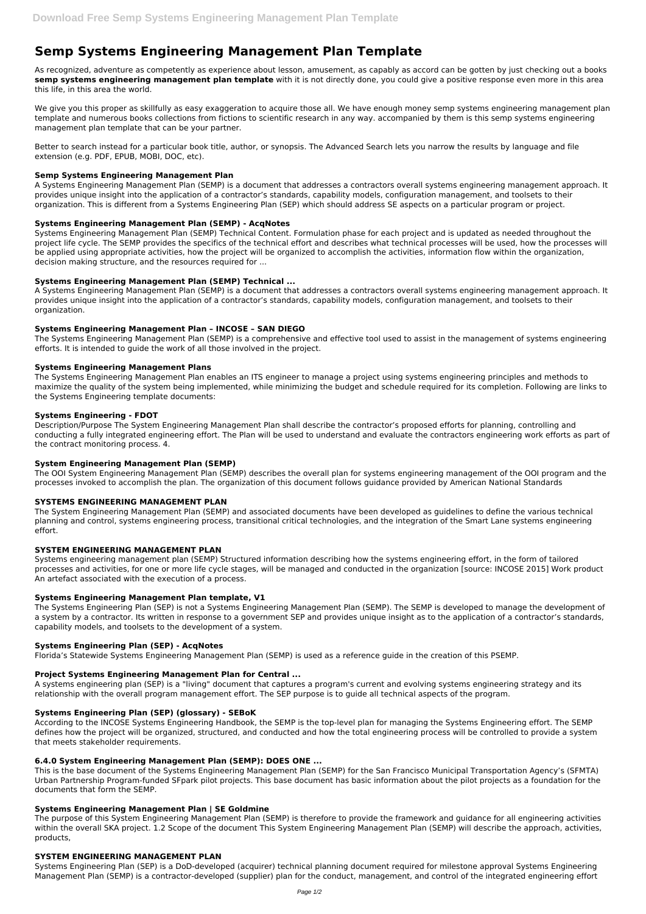# **Semp Systems Engineering Management Plan Template**

As recognized, adventure as competently as experience about lesson, amusement, as capably as accord can be gotten by just checking out a books **semp systems engineering management plan template** with it is not directly done, you could give a positive response even more in this area this life, in this area the world.

We give you this proper as skillfully as easy exaggeration to acquire those all. We have enough money semp systems engineering management plan template and numerous books collections from fictions to scientific research in any way. accompanied by them is this semp systems engineering management plan template that can be your partner.

Better to search instead for a particular book title, author, or synopsis. The Advanced Search lets you narrow the results by language and file extension (e.g. PDF, EPUB, MOBI, DOC, etc).

#### **Semp Systems Engineering Management Plan**

A Systems Engineering Management Plan (SEMP) is a document that addresses a contractors overall systems engineering management approach. It provides unique insight into the application of a contractor's standards, capability models, configuration management, and toolsets to their organization. This is different from a Systems Engineering Plan (SEP) which should address SE aspects on a particular program or project.

## **Systems Engineering Management Plan (SEMP) - AcqNotes**

Systems Engineering Management Plan (SEMP) Technical Content. Formulation phase for each project and is updated as needed throughout the project life cycle. The SEMP provides the specifics of the technical effort and describes what technical processes will be used, how the processes will be applied using appropriate activities, how the project will be organized to accomplish the activities, information flow within the organization, decision making structure, and the resources required for ...

## **Systems Engineering Management Plan (SEMP) Technical ...**

A Systems Engineering Management Plan (SEMP) is a document that addresses a contractors overall systems engineering management approach. It provides unique insight into the application of a contractor's standards, capability models, configuration management, and toolsets to their organization.

## **Systems Engineering Management Plan – INCOSE – SAN DIEGO**

The Systems Engineering Management Plan (SEMP) is a comprehensive and effective tool used to assist in the management of systems engineering efforts. It is intended to guide the work of all those involved in the project.

#### **Systems Engineering Management Plans**

According to the INCOSE Systems Engineering Handbook, the SEMP is the top-level plan for managing the Systems Engineering effort. The SEMP defines how the project will be organized, structured, and conducted and how the total engineering process will be controlled to provide a system that meets stakeholder requirements.

The Systems Engineering Management Plan enables an ITS engineer to manage a project using systems engineering principles and methods to maximize the quality of the system being implemented, while minimizing the budget and schedule required for its completion. Following are links to the Systems Engineering template documents:

#### **Systems Engineering - FDOT**

Description/Purpose The System Engineering Management Plan shall describe the contractor's proposed efforts for planning, controlling and conducting a fully integrated engineering effort. The Plan will be used to understand and evaluate the contractors engineering work efforts as part of the contract monitoring process. 4.

#### **System Engineering Management Plan (SEMP)**

The OOI System Engineering Management Plan (SEMP) describes the overall plan for systems engineering management of the OOI program and the processes invoked to accomplish the plan. The organization of this document follows guidance provided by American National Standards

#### **SYSTEMS ENGINEERING MANAGEMENT PLAN**

The System Engineering Management Plan (SEMP) and associated documents have been developed as guidelines to define the various technical planning and control, systems engineering process, transitional critical technologies, and the integration of the Smart Lane systems engineering effort.

#### **SYSTEM ENGINEERING MANAGEMENT PLAN**

Systems engineering management plan (SEMP) Structured information describing how the systems engineering effort, in the form of tailored processes and activities, for one or more life cycle stages, will be managed and conducted in the organization [source: INCOSE 2015] Work product An artefact associated with the execution of a process.

#### **Systems Engineering Management Plan template, V1**

The Systems Engineering Plan (SEP) is not a Systems Engineering Management Plan (SEMP). The SEMP is developed to manage the development of a system by a contractor. Its written in response to a government SEP and provides unique insight as to the application of a contractor's standards, capability models, and toolsets to the development of a system.

#### **Systems Engineering Plan (SEP) - AcqNotes**

Florida's Statewide Systems Engineering Management Plan (SEMP) is used as a reference guide in the creation of this PSEMP.

#### **Project Systems Engineering Management Plan for Central ...**

A systems engineering plan (SEP) is a "living" document that captures a program's current and evolving systems engineering strategy and its

relationship with the overall program management effort. The SEP purpose is to guide all technical aspects of the program.

#### **Systems Engineering Plan (SEP) (glossary) - SEBoK**

#### **6.4.0 System Engineering Management Plan (SEMP): DOES ONE ...**

This is the base document of the Systems Engineering Management Plan (SEMP) for the San Francisco Municipal Transportation Agency's (SFMTA) Urban Partnership Program-funded SFpark pilot projects. This base document has basic information about the pilot projects as a foundation for the documents that form the SEMP.

#### **Systems Engineering Management Plan | SE Goldmine**

The purpose of this System Engineering Management Plan (SEMP) is therefore to provide the framework and guidance for all engineering activities within the overall SKA project. 1.2 Scope of the document This System Engineering Management Plan (SEMP) will describe the approach, activities, products,

#### **SYSTEM ENGINEERING MANAGEMENT PLAN**

Systems Engineering Plan (SEP) is a DoD-developed (acquirer) technical planning document required for milestone approval Systems Engineering Management Plan (SEMP) is a contractor-developed (supplier) plan for the conduct, management, and control of the integrated engineering effort